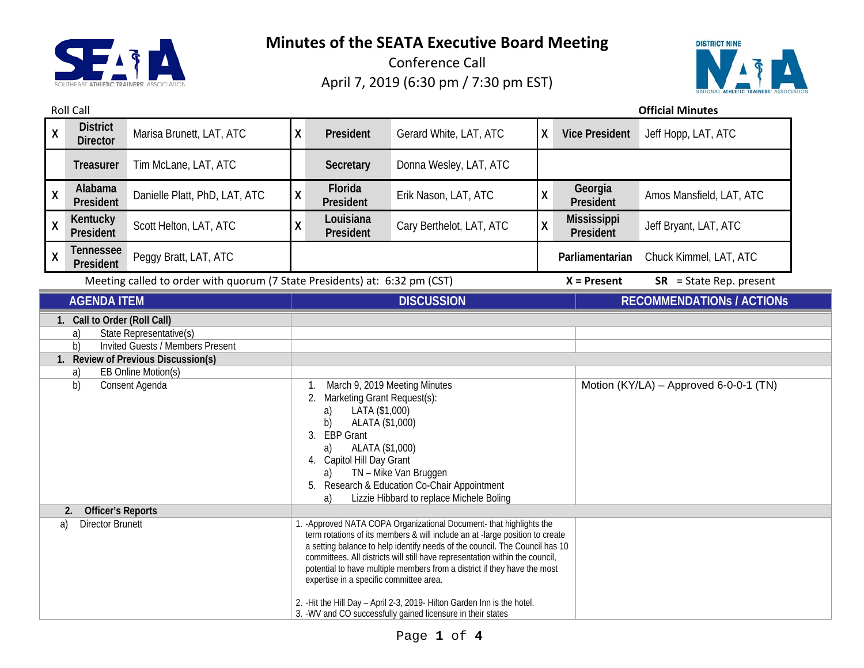

Conference Call April 7, 2019 (6:30 pm / 7:30 pm EST)



Roll Call **Official Minutes**

| <b>District</b><br>$\pmb{\mathsf{X}}$<br><b>Director</b>                                                                                                                                                            | Marisa Brunett, LAT, ATC      | X                  | President                                                                                                                                                                                                                                                                                                                                                                                                                                                                                                                                                                              | Gerard White, LAT, ATC   | χ | <b>Vice President</b>           | Jeff Hopp, LAT, ATC                    |
|---------------------------------------------------------------------------------------------------------------------------------------------------------------------------------------------------------------------|-------------------------------|--------------------|----------------------------------------------------------------------------------------------------------------------------------------------------------------------------------------------------------------------------------------------------------------------------------------------------------------------------------------------------------------------------------------------------------------------------------------------------------------------------------------------------------------------------------------------------------------------------------------|--------------------------|---|---------------------------------|----------------------------------------|
| <b>Treasurer</b>                                                                                                                                                                                                    | Tim McLane, LAT, ATC          |                    | Secretary                                                                                                                                                                                                                                                                                                                                                                                                                                                                                                                                                                              | Donna Wesley, LAT, ATC   |   |                                 |                                        |
| Alabama<br>X<br>President                                                                                                                                                                                           | Danielle Platt, PhD, LAT, ATC | $\pmb{\mathsf{X}}$ | Florida<br>President                                                                                                                                                                                                                                                                                                                                                                                                                                                                                                                                                                   | Erik Nason, LAT, ATC     | χ | Georgia<br>President            | Amos Mansfield, LAT, ATC               |
| Kentucky<br>$\pmb{\mathsf{X}}$<br>President                                                                                                                                                                         | Scott Helton, LAT, ATC        | χ                  | Louisiana<br>President                                                                                                                                                                                                                                                                                                                                                                                                                                                                                                                                                                 | Cary Berthelot, LAT, ATC | X | <b>Mississippi</b><br>President | Jeff Bryant, LAT, ATC                  |
| Tennessee<br>X<br>President                                                                                                                                                                                         | Peggy Bratt, LAT, ATC         |                    |                                                                                                                                                                                                                                                                                                                                                                                                                                                                                                                                                                                        |                          |   | Parliamentarian                 | Chuck Kimmel, LAT, ATC                 |
| Meeting called to order with quorum (7 State Presidents) at: 6:32 pm (CST)                                                                                                                                          |                               |                    |                                                                                                                                                                                                                                                                                                                                                                                                                                                                                                                                                                                        |                          |   | $X =$ Present                   | $SR = State Rep. present$              |
| <b>AGENDA ITEM</b>                                                                                                                                                                                                  |                               |                    | <b>DISCUSSION</b>                                                                                                                                                                                                                                                                                                                                                                                                                                                                                                                                                                      |                          |   |                                 | <b>RECOMMENDATIONS / ACTIONS</b>       |
| State Representative(s)<br>a)<br><b>Invited Guests / Members Present</b><br>b)<br>1. Review of Previous Discussion(s)<br><b>EB Online Motion(s)</b><br>a)<br>b)<br>Consent Agenda<br>2.<br><b>Officer's Reports</b> |                               |                    | March 9, 2019 Meeting Minutes<br>1.<br>Marketing Grant Request(s):<br>2.<br>LATA (\$1,000)<br>a)<br>ALATA (\$1,000)<br>b)<br>3. EBP Grant<br>ALATA (\$1,000)<br>a)<br>4. Capitol Hill Day Grant<br>TN - Mike Van Bruggen<br>a)<br>Research & Education Co-Chair Appointment<br>5.<br>Lizzie Hibbard to replace Michele Boling<br>a)                                                                                                                                                                                                                                                    |                          |   |                                 | Motion (KY/LA) - Approved 6-0-0-1 (TN) |
| <b>Director Brunett</b><br>a)                                                                                                                                                                                       |                               |                    | 1. - Approved NATA COPA Organizational Document- that highlights the<br>term rotations of its members & will include an at -large position to create<br>a setting balance to help identify needs of the council. The Council has 10<br>committees. All districts will still have representation within the council,<br>potential to have multiple members from a district if they have the most<br>expertise in a specific committee area.<br>2. - Hit the Hill Day - April 2-3, 2019- Hilton Garden Inn is the hotel.<br>3. - WV and CO successfully gained licensure in their states |                          |   |                                 |                                        |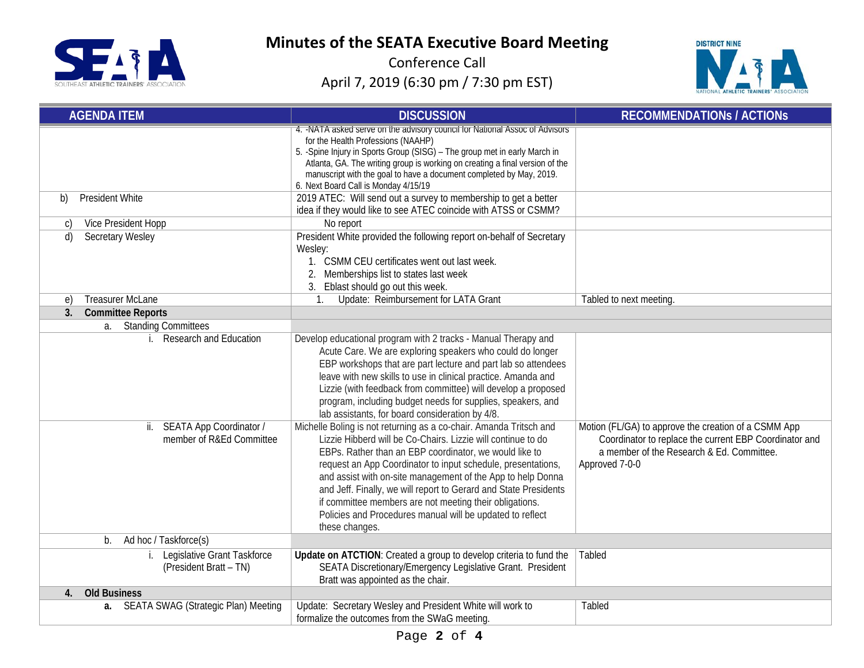

Conference Call April 7, 2019 (6:30 pm / 7:30 pm EST)



| <b>AGENDA ITEM</b>                                                                       | <b>DISCUSSION</b>                                                                                                                                                                                                                                                                                                                                                                                                                                                                                                                                                                                                                                                                                                                                                                                                                                                                                                                                                                             | <b>RECOMMENDATIONS / ACTIONS</b>                                                                                                                                              |
|------------------------------------------------------------------------------------------|-----------------------------------------------------------------------------------------------------------------------------------------------------------------------------------------------------------------------------------------------------------------------------------------------------------------------------------------------------------------------------------------------------------------------------------------------------------------------------------------------------------------------------------------------------------------------------------------------------------------------------------------------------------------------------------------------------------------------------------------------------------------------------------------------------------------------------------------------------------------------------------------------------------------------------------------------------------------------------------------------|-------------------------------------------------------------------------------------------------------------------------------------------------------------------------------|
|                                                                                          | 4. - NATA asked serve on the advisory council for National Assoc of Advisors<br>for the Health Professions (NAAHP)<br>5. - Spine Injury in Sports Group (SISG) - The group met in early March in<br>Atlanta, GA. The writing group is working on creating a final version of the<br>manuscript with the goal to have a document completed by May, 2019.<br>6. Next Board Call is Monday 4/15/19                                                                                                                                                                                                                                                                                                                                                                                                                                                                                                                                                                                               |                                                                                                                                                                               |
| <b>President White</b><br>b)                                                             | 2019 ATEC: Will send out a survey to membership to get a better<br>idea if they would like to see ATEC coincide with ATSS or CSMM?                                                                                                                                                                                                                                                                                                                                                                                                                                                                                                                                                                                                                                                                                                                                                                                                                                                            |                                                                                                                                                                               |
| Vice President Hopp<br>C)                                                                | No report                                                                                                                                                                                                                                                                                                                                                                                                                                                                                                                                                                                                                                                                                                                                                                                                                                                                                                                                                                                     |                                                                                                                                                                               |
| Secretary Wesley<br>d)                                                                   | President White provided the following report on-behalf of Secretary<br>Wesley:<br>1. CSMM CEU certificates went out last week.<br>2. Memberships list to states last week<br>3. Eblast should go out this week.                                                                                                                                                                                                                                                                                                                                                                                                                                                                                                                                                                                                                                                                                                                                                                              |                                                                                                                                                                               |
| <b>Treasurer McLane</b><br>e)                                                            | Update: Reimbursement for LATA Grant<br>$\mathbf{1}$                                                                                                                                                                                                                                                                                                                                                                                                                                                                                                                                                                                                                                                                                                                                                                                                                                                                                                                                          | Tabled to next meeting.                                                                                                                                                       |
| 3.<br><b>Committee Reports</b>                                                           |                                                                                                                                                                                                                                                                                                                                                                                                                                                                                                                                                                                                                                                                                                                                                                                                                                                                                                                                                                                               |                                                                                                                                                                               |
| a. Standing Committees                                                                   |                                                                                                                                                                                                                                                                                                                                                                                                                                                                                                                                                                                                                                                                                                                                                                                                                                                                                                                                                                                               |                                                                                                                                                                               |
| <b>Research and Education</b><br>ii. SEATA App Coordinator /<br>member of R&Ed Committee | Develop educational program with 2 tracks - Manual Therapy and<br>Acute Care. We are exploring speakers who could do longer<br>EBP workshops that are part lecture and part lab so attendees<br>leave with new skills to use in clinical practice. Amanda and<br>Lizzie (with feedback from committee) will develop a proposed<br>program, including budget needs for supplies, speakers, and<br>lab assistants, for board consideration by 4/8.<br>Michelle Boling is not returning as a co-chair. Amanda Tritsch and<br>Lizzie Hibberd will be Co-Chairs. Lizzie will continue to do<br>EBPs. Rather than an EBP coordinator, we would like to<br>request an App Coordinator to input schedule, presentations,<br>and assist with on-site management of the App to help Donna<br>and Jeff. Finally, we will report to Gerard and State Presidents<br>if committee members are not meeting their obligations.<br>Policies and Procedures manual will be updated to reflect<br>these changes. | Motion (FL/GA) to approve the creation of a CSMM App<br>Coordinator to replace the current EBP Coordinator and<br>a member of the Research & Ed. Committee.<br>Approved 7-0-0 |
| Ad hoc / Taskforce(s)<br>b.                                                              |                                                                                                                                                                                                                                                                                                                                                                                                                                                                                                                                                                                                                                                                                                                                                                                                                                                                                                                                                                                               |                                                                                                                                                                               |
| Legislative Grant Taskforce<br>(President Bratt - TN)                                    | Update on ATCTION: Created a group to develop criteria to fund the<br>SEATA Discretionary/Emergency Legislative Grant. President<br>Bratt was appointed as the chair.                                                                                                                                                                                                                                                                                                                                                                                                                                                                                                                                                                                                                                                                                                                                                                                                                         | Tabled                                                                                                                                                                        |
| <b>Old Business</b><br>4.                                                                |                                                                                                                                                                                                                                                                                                                                                                                                                                                                                                                                                                                                                                                                                                                                                                                                                                                                                                                                                                                               |                                                                                                                                                                               |
| <b>SEATA SWAG (Strategic Plan) Meeting</b><br>a.                                         | Update: Secretary Wesley and President White will work to<br>formalize the outcomes from the SWaG meeting.                                                                                                                                                                                                                                                                                                                                                                                                                                                                                                                                                                                                                                                                                                                                                                                                                                                                                    | Tabled                                                                                                                                                                        |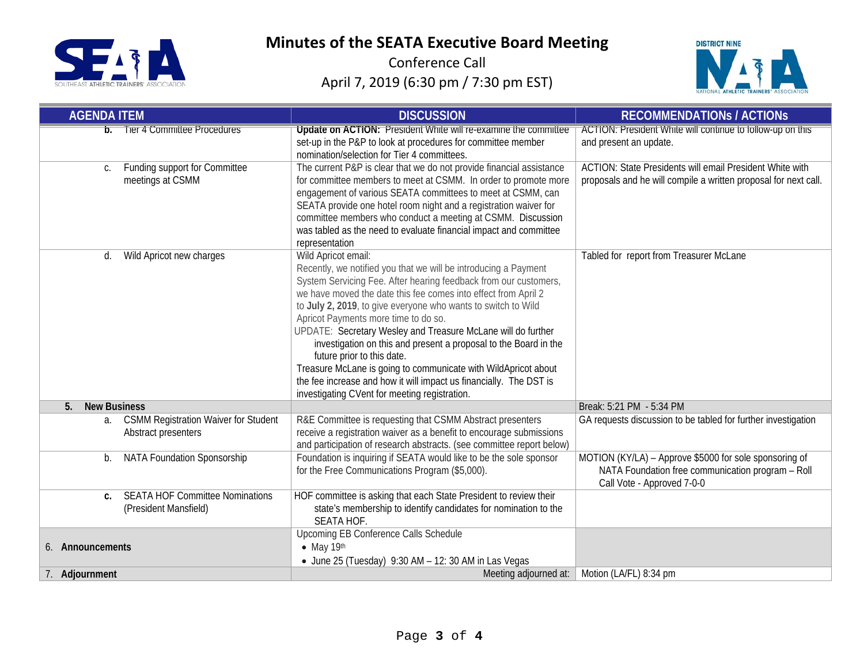

Conference Call April 7, 2019 (6:30 pm / 7:30 pm EST)



| <b>AGENDA ITEM</b>                                                       | <b>DISCUSSION</b>                                                                                                                                                                                                                                                                                                                                                                                                                                                                                                                                                                                                                                                                                | <b>RECOMMENDATIONS / ACTIONS</b>                                                                                                          |  |  |
|--------------------------------------------------------------------------|--------------------------------------------------------------------------------------------------------------------------------------------------------------------------------------------------------------------------------------------------------------------------------------------------------------------------------------------------------------------------------------------------------------------------------------------------------------------------------------------------------------------------------------------------------------------------------------------------------------------------------------------------------------------------------------------------|-------------------------------------------------------------------------------------------------------------------------------------------|--|--|
| <b>b.</b> lier 4 Committee Procedures                                    | Update on ACTION: President White will re-examine the committee<br>set-up in the P&P to look at procedures for committee member<br>nomination/selection for Tier 4 committees.                                                                                                                                                                                                                                                                                                                                                                                                                                                                                                                   | ACTION: President White will continue to follow-up on this<br>and present an update.                                                      |  |  |
| Funding support for Committee<br>C.<br>meetings at CSMM                  | The current P&P is clear that we do not provide financial assistance<br>for committee members to meet at CSMM. In order to promote more<br>engagement of various SEATA committees to meet at CSMM, can<br>SEATA provide one hotel room night and a registration waiver for<br>committee members who conduct a meeting at CSMM. Discussion<br>was tabled as the need to evaluate financial impact and committee<br>representation                                                                                                                                                                                                                                                                 | ACTION: State Presidents will email President White with<br>proposals and he will compile a written proposal for next call.               |  |  |
| Wild Apricot new charges<br>d.                                           | Wild Apricot email:<br>Recently, we notified you that we will be introducing a Payment<br>System Servicing Fee. After hearing feedback from our customers,<br>we have moved the date this fee comes into effect from April 2<br>to July 2, 2019, to give everyone who wants to switch to Wild<br>Apricot Payments more time to do so.<br>UPDATE: Secretary Wesley and Treasure McLane will do further<br>investigation on this and present a proposal to the Board in the<br>future prior to this date.<br>Treasure McLane is going to communicate with WildApricot about<br>the fee increase and how it will impact us financially. The DST is<br>investigating CVent for meeting registration. | Tabled for report from Treasurer McLane                                                                                                   |  |  |
| <b>New Business</b><br>5.                                                |                                                                                                                                                                                                                                                                                                                                                                                                                                                                                                                                                                                                                                                                                                  | Break: 5:21 PM - 5:34 PM                                                                                                                  |  |  |
| <b>CSMM Registration Waiver for Student</b><br>а.<br>Abstract presenters | R&E Committee is requesting that CSMM Abstract presenters<br>receive a registration waiver as a benefit to encourage submissions<br>and participation of research abstracts. (see committee report below)                                                                                                                                                                                                                                                                                                                                                                                                                                                                                        | GA requests discussion to be tabled for further investigation                                                                             |  |  |
| NATA Foundation Sponsorship<br>b.                                        | Foundation is inquiring if SEATA would like to be the sole sponsor<br>for the Free Communications Program (\$5,000).                                                                                                                                                                                                                                                                                                                                                                                                                                                                                                                                                                             | MOTION (KY/LA) - Approve \$5000 for sole sponsoring of<br>NATA Foundation free communication program - Roll<br>Call Vote - Approved 7-0-0 |  |  |
| <b>SEATA HOF Committee Nominations</b><br>C.<br>(President Mansfield)    | HOF committee is asking that each State President to review their<br>state's membership to identify candidates for nomination to the<br>SEATA HOF.                                                                                                                                                                                                                                                                                                                                                                                                                                                                                                                                               |                                                                                                                                           |  |  |
| 6. Announcements                                                         | Upcoming EB Conference Calls Schedule<br>$\bullet$ May 19th<br>• June 25 (Tuesday) 9:30 AM - 12: 30 AM in Las Vegas                                                                                                                                                                                                                                                                                                                                                                                                                                                                                                                                                                              |                                                                                                                                           |  |  |
| 7. Adjournment                                                           | Meeting adjourned at:                                                                                                                                                                                                                                                                                                                                                                                                                                                                                                                                                                                                                                                                            | Motion (LA/FL) 8:34 pm                                                                                                                    |  |  |